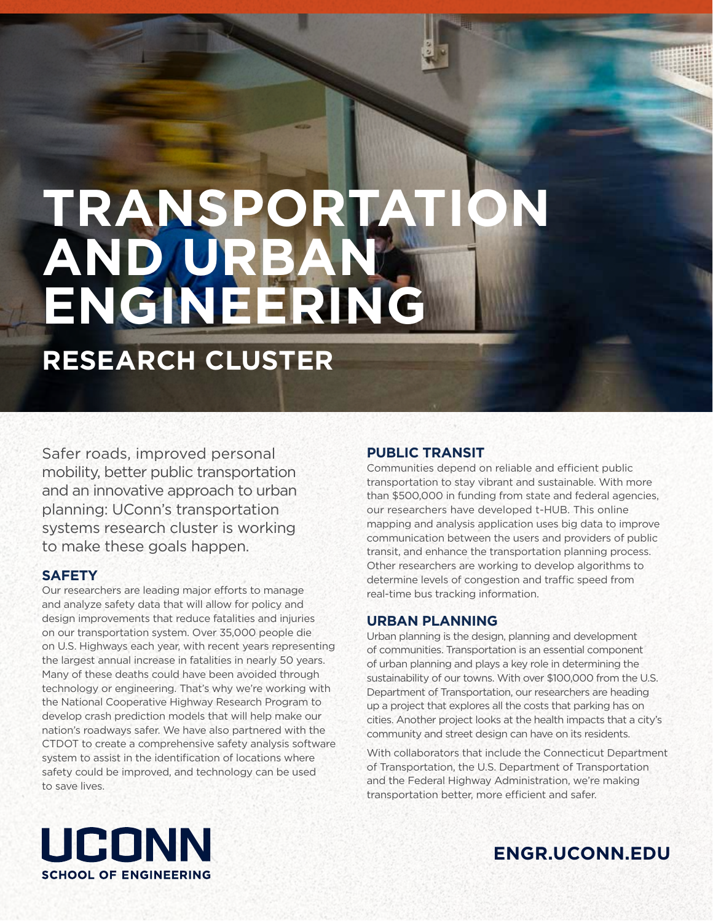# **TRANSPORTATION AND URBAN ENGINEERING**

## **RESEARCH CLUSTER**

Safer roads, improved personal mobility, better public transportation and an innovative approach to urban planning: UConn's transportation systems research cluster is working to make these goals happen.

#### **SAFETY**

Our researchers are leading major efforts to manage and analyze safety data that will allow for policy and design improvements that reduce fatalities and injuries on our transportation system. Over 35,000 people die on U.S. Highways each year, with recent years representing the largest annual increase in fatalities in nearly 50 years. Many of these deaths could have been avoided through technology or engineering. That's why we're working with the National Cooperative Highway Research Program to develop crash prediction models that will help make our nation's roadways safer. We have also partnered with the CTDOT to create a comprehensive safety analysis software system to assist in the identification of locations where safety could be improved, and technology can be used to save lives.

#### **PUBLIC TRANSIT**

Communities depend on reliable and efficient public transportation to stay vibrant and sustainable. With more than \$500,000 in funding from state and federal agencies, our researchers have developed t-HUB. This online mapping and analysis application uses big data to improve communication between the users and providers of public transit, and enhance the transportation planning process. Other researchers are working to develop algorithms to determine levels of congestion and traffic speed from real-time bus tracking information.

#### **URBAN PLANNING**

Urban planning is the design, planning and development of communities. Transportation is an essential component of urban planning and plays a key role in determining the sustainability of our towns. With over \$100,000 from the U.S. Department of Transportation, our researchers are heading up a project that explores all the costs that parking has on cities. Another project looks at the health impacts that a city's community and street design can have on its residents.

With collaborators that include the Connecticut Department of Transportation, the U.S. Department of Transportation and the Federal Highway Administration, we're making transportation better, more efficient and safer.



### **ENGR.UCONN.EDU**